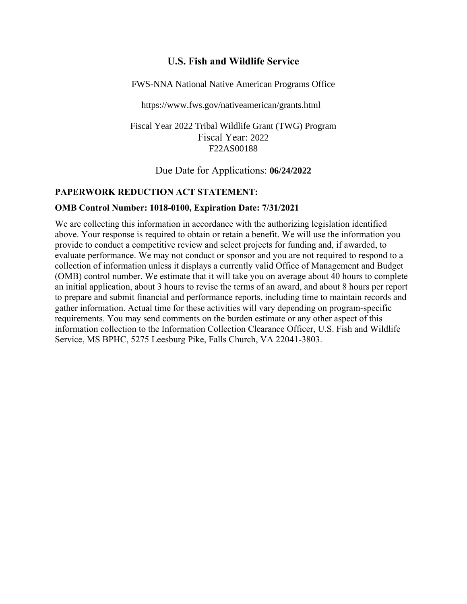# **U.S. Fish and Wildlife Service**

FWS-NNA National Native American Programs Office

https://www.fws.gov/nativeamerican/grants.html

Fiscal Year 2022 Tribal Wildlife Grant (TWG) Program Fiscal Year: 2022 F22AS00188

Due Date for Applications: **06/24/2022**

#### **PAPERWORK REDUCTION ACT STATEMENT:**

#### **OMB Control Number: 1018-0100, Expiration Date: 7/31/2021**

We are collecting this information in accordance with the authorizing legislation identified above. Your response is required to obtain or retain a benefit. We will use the information you provide to conduct a competitive review and select projects for funding and, if awarded, to evaluate performance. We may not conduct or sponsor and you are not required to respond to a collection of information unless it displays a currently valid Office of Management and Budget (OMB) control number. We estimate that it will take you on average about 40 hours to complete an initial application, about 3 hours to revise the terms of an award, and about 8 hours per report to prepare and submit financial and performance reports, including time to maintain records and gather information. Actual time for these activities will vary depending on program-specific requirements. You may send comments on the burden estimate or any other aspect of this information collection to the Information Collection Clearance Officer, U.S. Fish and Wildlife Service, MS BPHC, 5275 Leesburg Pike, Falls Church, VA 22041-3803.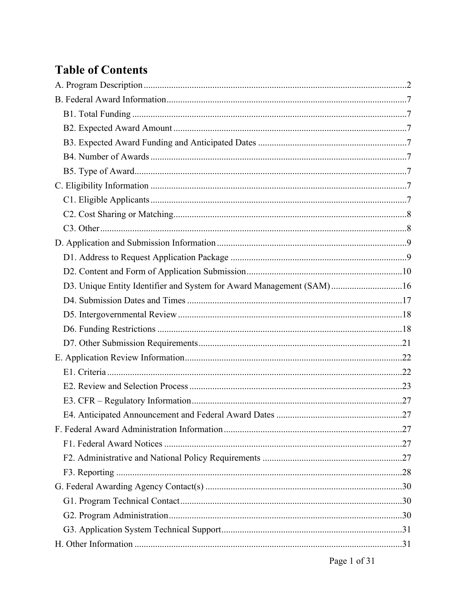# **Table of Contents**

| D3. Unique Entity Identifier and System for Award Management (SAM)16 |  |
|----------------------------------------------------------------------|--|
|                                                                      |  |
|                                                                      |  |
|                                                                      |  |
|                                                                      |  |
|                                                                      |  |
|                                                                      |  |
|                                                                      |  |
|                                                                      |  |
|                                                                      |  |
|                                                                      |  |
|                                                                      |  |
|                                                                      |  |
|                                                                      |  |
|                                                                      |  |
|                                                                      |  |
|                                                                      |  |
|                                                                      |  |
|                                                                      |  |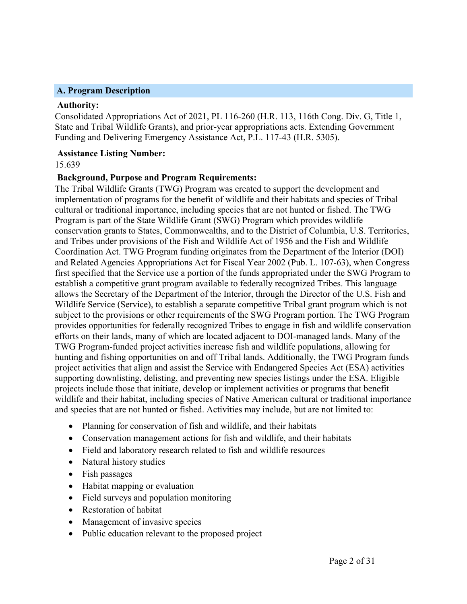#### <span id="page-2-0"></span>**A. Program Description**

#### **Authority:**

Consolidated Appropriations Act of 2021, PL 116-260 (H.R. 113, 116th Cong. Div. G, Title 1, State and Tribal Wildlife Grants), and prior-year appropriations acts. Extending Government Funding and Delivering Emergency Assistance Act, P.L. 117-43 (H.R. 5305).

#### **Assistance Listing Number:**

15.639

#### **Background, Purpose and Program Requirements:**

The Tribal Wildlife Grants (TWG) Program was created to support the development and implementation of programs for the benefit of wildlife and their habitats and species of Tribal cultural or traditional importance, including species that are not hunted or fished. The TWG Program is part of the State Wildlife Grant (SWG) Program which provides wildlife conservation grants to States, Commonwealths, and to the District of Columbia, U.S. Territories, and Tribes under provisions of the Fish and Wildlife Act of 1956 and the Fish and Wildlife Coordination Act. TWG Program funding originates from the Department of the Interior (DOI) and Related Agencies Appropriations Act for Fiscal Year 2002 (Pub. L. 107-63), when Congress first specified that the Service use a portion of the funds appropriated under the SWG Program to establish a competitive grant program available to federally recognized Tribes. This language allows the Secretary of the Department of the Interior, through the Director of the U.S. Fish and Wildlife Service (Service), to establish a separate competitive Tribal grant program which is not subject to the provisions or other requirements of the SWG Program portion. The TWG Program provides opportunities for federally recognized Tribes to engage in fish and wildlife conservation efforts on their lands, many of which are located adjacent to DOI-managed lands. Many of the TWG Program-funded project activities increase fish and wildlife populations, allowing for hunting and fishing opportunities on and off Tribal lands. Additionally, the TWG Program funds project activities that align and assist the Service with Endangered Species Act (ESA) activities supporting downlisting, delisting, and preventing new species listings under the ESA. Eligible projects include those that initiate, develop or implement activities or programs that benefit wildlife and their habitat, including species of Native American cultural or traditional importance and species that are not hunted or fished. Activities may include, but are not limited to:

- Planning for conservation of fish and wildlife, and their habitats
- Conservation management actions for fish and wildlife, and their habitats
- Field and laboratory research related to fish and wildlife resources
- Natural history studies
- Fish passages
- Habitat mapping or evaluation
- Field surveys and population monitoring
- Restoration of habitat
- Management of invasive species
- Public education relevant to the proposed project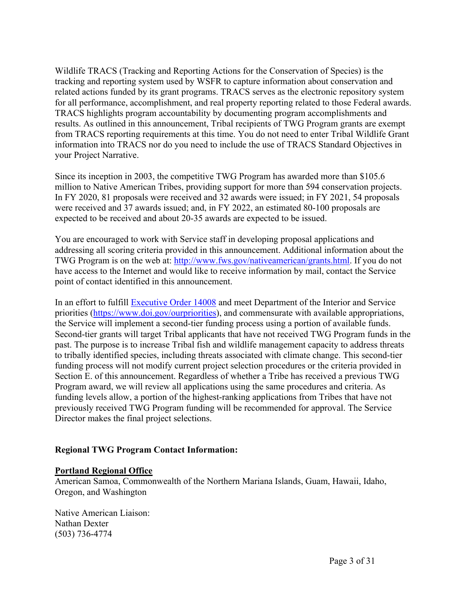Wildlife TRACS (Tracking and Reporting Actions for the Conservation of Species) is the tracking and reporting system used by WSFR to capture information about conservation and related actions funded by its grant programs. TRACS serves as the electronic repository system for all performance, accomplishment, and real property reporting related to those Federal awards. TRACS highlights program accountability by documenting program accomplishments and results. As outlined in this announcement, Tribal recipients of TWG Program grants are exempt from TRACS reporting requirements at this time. You do not need to enter Tribal Wildlife Grant information into TRACS nor do you need to include the use of TRACS Standard Objectives in your Project Narrative.

Since its inception in 2003, the competitive TWG Program has awarded more than \$105.6 million to Native American Tribes, providing support for more than 594 conservation projects. In FY 2020, 81 proposals were received and 32 awards were issued; in FY 2021, 54 proposals were received and 37 awards issued; and, in FY 2022, an estimated 80-100 proposals are expected to be received and about 20-35 awards are expected to be issued.

You are encouraged to work with Service staff in developing proposal applications and addressing all scoring criteria provided in this announcement. Additional information about the TWG Program is on the web at: [http://www.fws.gov/nativeamerican/grants.html.](http://www.fws.gov/nativeamerican/grants.html) If you do not have access to the Internet and would like to receive information by mail, contact the Service point of contact identified in this announcement.

In an effort to fulfill [Executive](https://www.whitehouse.gov/briefing-room/presidential-actions/2021/01/27/executive-order-on-tackling-the-climate-crisis-at-home-and-abroad/) Order 14008 and meet Department of the Interior and Service priorities [\(https://www.doi.gov/ourpriorities\)](https://www.doi.gov/ourpriorities), and commensurate with available appropriations, the Service will implement a second-tier funding process using a portion of available funds. Second-tier grants will target Tribal applicants that have not received TWG Program funds in the past. The purpose is to increase Tribal fish and wildlife management capacity to address threats to tribally identified species, including threats associated with climate change. This second-tier funding process will not modify current project selection procedures or the criteria provided in Section E. of this announcement. Regardless of whether a Tribe has received a previous TWG Program award, we will review all applications using the same procedures and criteria. As funding levels allow, a portion of the highest-ranking applications from Tribes that have not previously received TWG Program funding will be recommended for approval. The Service Director makes the final project selections.

#### **Regional TWG Program Contact Information:**

#### **Portland Regional Office**

American Samoa, Commonwealth of the Northern Mariana Islands, Guam, Hawaii, Idaho, Oregon, and Washington

Native American Liaison: Nathan Dexter (503) 736-4774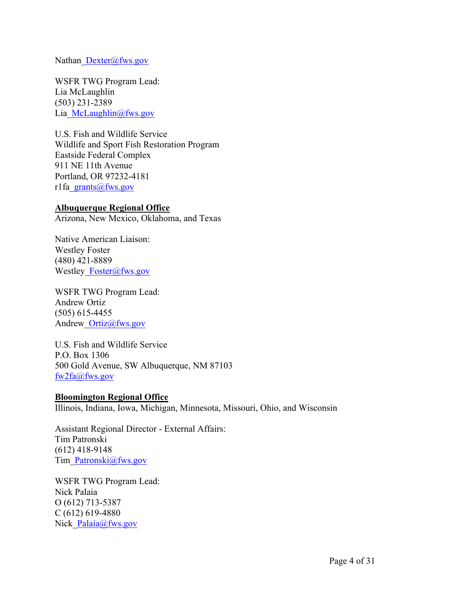Nathan [Dexter@fws.gov](mailto:Dexter@fws.gov)

WSFR TWG Program Lead: Lia McLaughlin (503) 231-2389 Lia [McLaughlin@fws.gov](mailto:McLaughlin@fws.gov)

U.S. Fish and Wildlife Service Wildlife and Sport Fish Restoration Program Eastside Federal Complex 911 NE 11th Avenue Portland, OR 97232-4181 r1fa grants@fws.gov

#### **Albuquerque Regional Office**

Arizona, New Mexico, Oklahoma, and Texas

Native American Liaison: Westley Foster (480) 421-8889 Westley Foster@fws.gov

WSFR TWG Program Lead: Andrew Ortiz (505) 615-4455 Andrew [Ortiz@fws.gov](mailto:Ortiz@fws.gov)

U.S. Fish and Wildlife Service P.O. Box 1306 500 Gold Avenue, SW Albuquerque, NM 87103 [fw2fa@fws.gov](mailto:fw2fa@fws.gov)

#### **Bloomington Regional Office**

Illinois, Indiana, Iowa, Michigan, Minnesota, Missouri, Ohio, and Wisconsin

Assistant Regional Director - External Affairs: Tim Patronski (612) 418-9148 Tim[\\_Patronski@fws.gov](mailto:Patronski@fws.gov)

WSFR TWG Program Lead: Nick Palaia O (612) 713-5387 C (612) 619-4880 Nick Palaia@fws.gov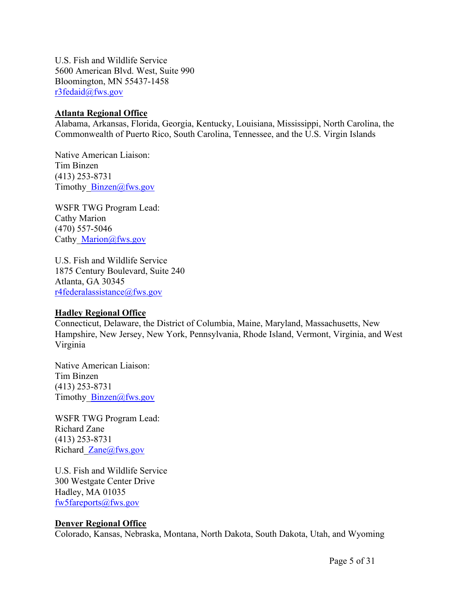U.S. Fish and Wildlife Service 5600 American Blvd. West, Suite 990 Bloomington, MN 55437-1458 [r3fedaid@fws.gov](mailto:r3fedaid@fws.gov)

#### **Atlanta Regional Office**

Alabama, Arkansas, Florida, Georgia, Kentucky, Louisiana, Mississippi, North Carolina, the Commonwealth of Puerto Rico, South Carolina, Tennessee, and the U.S. Virgin Islands

Native American Liaison: Tim Binzen (413) 253-8731 Timothy Binzen@fws.gov

WSFR TWG Program Lead: Cathy Marion (470) 557-5046 Cathy [Marion@fws.gov](mailto:Marion@fws.gov)

U.S. Fish and Wildlife Service 1875 Century Boulevard, Suite 240 Atlanta, GA 30345 [r4federalassistance@fws.gov](mailto:r4federalassistance@fws.gov)

#### **Hadley Regional Office**

Connecticut, Delaware, the District of Columbia, Maine, Maryland, Massachusetts, New Hampshire, New Jersey, New York, Pennsylvania, Rhode Island, Vermont, Virginia, and West Virginia

Native American Liaison: Tim Binzen (413) 253-8731 Timothy Binzen@fws.gov

WSFR TWG Program Lead: Richard Zane (413) 253-8731 Richard [Zane@fws.gov](mailto:Zane@fws.gov)

U.S. Fish and Wildlife Service 300 Westgate Center Drive Hadley, MA 01035 [fw5fareports@fws.gov](mailto:fw5fareports@fws.gov)

#### **Denver Regional Office**

Colorado, Kansas, Nebraska, Montana, North Dakota, South Dakota, Utah, and Wyoming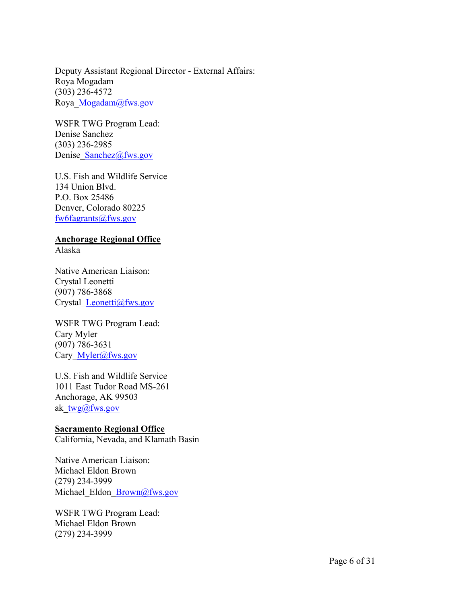Deputy Assistant Regional Director - External Affairs: Roya Mogadam (303) 236-4572 Roya[\\_Mogadam@fws.gov](mailto:Mogadam@fws.gov)

WSFR TWG Program Lead: Denise Sanchez (303) 236-2985 Denise Sanchez@fws.gov

U.S. Fish and Wildlife Service 134 Union Blvd. P.O. Box 25486 Denver, Colorado 80225 [fw6fagrants@fws.gov](mailto:fw6fagrants@fws.gov)

# **Anchorage Regional Office**

Alaska

Native American Liaison: Crystal Leonetti (907) 786-3868 Crystal [Leonetti@fws.gov](mailto:Leonetti@fws.gov)

WSFR TWG Program Lead: Cary Myler (907) 786-3631 Cary Myler@fws.gov

U.S. Fish and Wildlife Service 1011 East Tudor Road MS-261 Anchorage, AK 99503 ak[\\_twg@fws.gov](mailto:twg@fws.gov)

# **Sacramento Regional Office**

California, Nevada, and Klamath Basin

Native American Liaison: Michael Eldon Brown (279) 234-3999 Michael Eldon [Brown@fws.gov](mailto:Brown@fws.gov)

WSFR TWG Program Lead: Michael Eldon Brown (279) 234-3999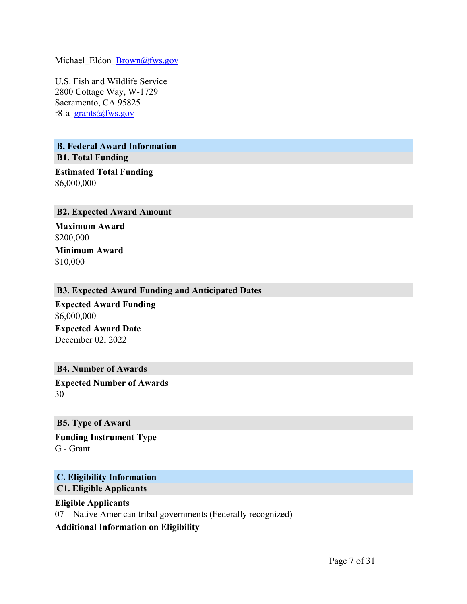Michael Eldon [Brown@fws.gov](mailto:Brown@fws.gov)

U.S. Fish and Wildlife Service 2800 Cottage Way, W-1729 Sacramento, CA 95825 r8fa[\\_grants@fws.gov](mailto:grants@fws.gov)

<span id="page-7-1"></span><span id="page-7-0"></span>**B. Federal Award Information B1. Total Funding**

**Estimated Total Funding** \$6,000,000

#### <span id="page-7-2"></span>**B2. Expected Award Amount**

**Maximum Award** \$200,000 **Minimum Award** \$10,000

#### <span id="page-7-3"></span>**B3. Expected Award Funding and Anticipated Dates**

**Expected Award Funding** \$6,000,000 **Expected Award Date** December 02, 2022

#### <span id="page-7-4"></span>**B4. Number of Awards**

**Expected Number of Awards** 30

#### <span id="page-7-5"></span>**B5. Type of Award**

**Funding Instrument Type** G - Grant

#### <span id="page-7-7"></span><span id="page-7-6"></span>**C. Eligibility Information C1. Eligible Applicants**

**Eligible Applicants** 07 – Native American tribal governments (Federally recognized) **Additional Information on Eligibility**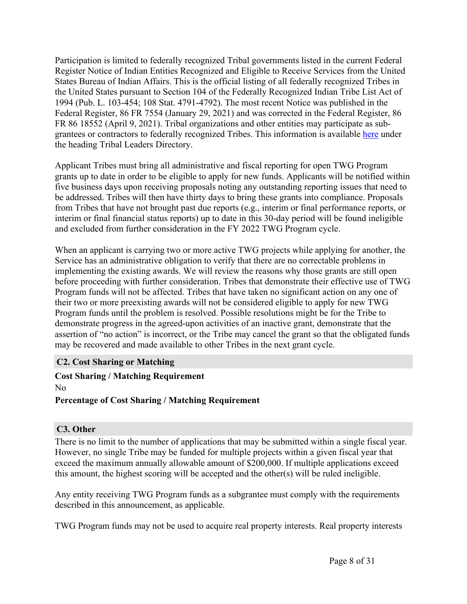Participation is limited to federally recognized Tribal governments listed in the current Federal Register Notice of Indian Entities Recognized and Eligible to Receive Services from the United States Bureau of Indian Affairs. This is the official listing of all federally recognized Tribes in the United States pursuant to Section 104 of the Federally Recognized Indian Tribe List Act of 1994 (Pub. L. 103-454; 108 Stat. 4791-4792). The most recent Notice was published in the Federal Register, 86 FR 7554 (January 29, 2021) and was corrected in the Federal Register, 86 FR 86 18552 (April 9, 2021). Tribal organizations and other entities may participate as subgrantees or contractors to federally recognized Tribes. This information is available [here](http://www.fws.gov/nativeamerican/) under the heading Tribal Leaders Directory.

Applicant Tribes must bring all administrative and fiscal reporting for open TWG Program grants up to date in order to be eligible to apply for new funds. Applicants will be notified within five business days upon receiving proposals noting any outstanding reporting issues that need to be addressed. Tribes will then have thirty days to bring these grants into compliance. Proposals from Tribes that have not brought past due reports (e.g., interim or final performance reports, or interim or final financial status reports) up to date in this 30-day period will be found ineligible and excluded from further consideration in the FY 2022 TWG Program cycle.

When an applicant is carrying two or more active TWG projects while applying for another, the Service has an administrative obligation to verify that there are no correctable problems in implementing the existing awards. We will review the reasons why those grants are still open before proceeding with further consideration. Tribes that demonstrate their effective use of TWG Program funds will not be affected. Tribes that have taken no significant action on any one of their two or more preexisting awards will not be considered eligible to apply for new TWG Program funds until the problem is resolved. Possible resolutions might be for the Tribe to demonstrate progress in the agreed-upon activities of an inactive grant, demonstrate that the assertion of "no action" is incorrect, or the Tribe may cancel the grant so that the obligated funds may be recovered and made available to other Tribes in the next grant cycle.

#### <span id="page-8-0"></span>**C2. Cost Sharing or Matching**

**Cost Sharing / Matching Requirement** No

**Percentage of Cost Sharing / Matching Requirement**

# <span id="page-8-1"></span>**C3. Other**

There is no limit to the number of applications that may be submitted within a single fiscal year. However, no single Tribe may be funded for multiple projects within a given fiscal year that exceed the maximum annually allowable amount of \$200,000. If multiple applications exceed this amount, the highest scoring will be accepted and the other(s) will be ruled ineligible.

Any entity receiving TWG Program funds as a subgrantee must comply with the requirements described in this announcement, as applicable.

TWG Program funds may not be used to acquire real property interests. Real property interests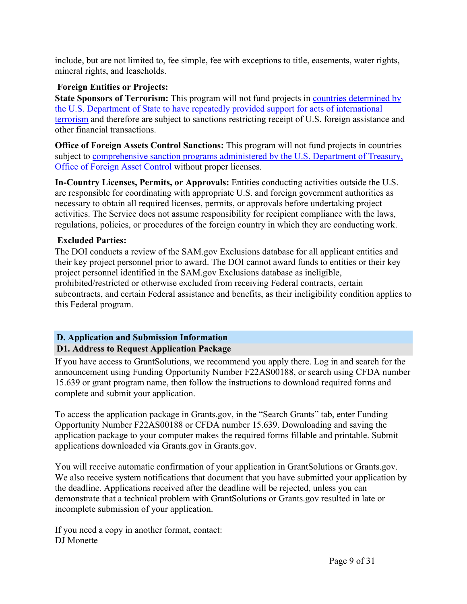include, but are not limited to, fee simple, fee with exceptions to title, easements, water rights, mineral rights, and leaseholds.

# **Foreign Entities or Projects:**

**State Sponsors of Terrorism:** This program will not fund projects in countries [determined](https://www.state.gov/j/ct/list/c14151.htm) by the U.S. Department of State to have repeatedly provided support for acts of [international](https://www.state.gov/j/ct/list/c14151.htm) [terrorism](https://www.state.gov/j/ct/list/c14151.htm) and therefore are subject to sanctions restricting receipt of U.S. foreign assistance and other financial transactions.

**Office of Foreign Assets Control Sanctions:** This program will not fund projects in countries subject to [comprehensive](http://www.treasury.gov/resource-center/sanctions/Pages/default.aspx) sanction programs administered by the U.S. Department of Treasury, Office of [Foreign](http://www.treasury.gov/resource-center/sanctions/Pages/default.aspx) Asset Control without proper licenses.

**In-Country Licenses, Permits, or Approvals:** Entities conducting activities outside the U.S. are responsible for coordinating with appropriate U.S. and foreign government authorities as necessary to obtain all required licenses, permits, or approvals before undertaking project activities. The Service does not assume responsibility for recipient compliance with the laws, regulations, policies, or procedures of the foreign country in which they are conducting work.

# **Excluded Parties:**

The DOI conducts a review of the SAM.gov Exclusions database for all applicant entities and their key project personnel prior to award. The DOI cannot award funds to entities or their key project personnel identified in the SAM.gov Exclusions database as ineligible, prohibited/restricted or otherwise excluded from receiving Federal contracts, certain subcontracts, and certain Federal assistance and benefits, as their ineligibility condition applies to this Federal program.

# <span id="page-9-1"></span><span id="page-9-0"></span>**D. Application and Submission Information D1. Address to Request Application Package**

If you have access to GrantSolutions, we recommend you apply there. Log in and search for the announcement using Funding Opportunity Number F22AS00188, or search using CFDA number 15.639 or grant program name, then follow the instructions to download required forms and complete and submit your application.

To access the application package in Grants.gov, in the "Search Grants" tab, enter Funding Opportunity Number F22AS00188 or CFDA number 15.639. Downloading and saving the application package to your computer makes the required forms fillable and printable. Submit applications downloaded via Grants.gov in Grants.gov.

You will receive automatic confirmation of your application in GrantSolutions or Grants.gov. We also receive system notifications that document that you have submitted your application by the deadline. Applications received after the deadline will be rejected, unless you can demonstrate that a technical problem with GrantSolutions or Grants.gov resulted in late or incomplete submission of your application.

If you need a copy in another format, contact: DJ Monette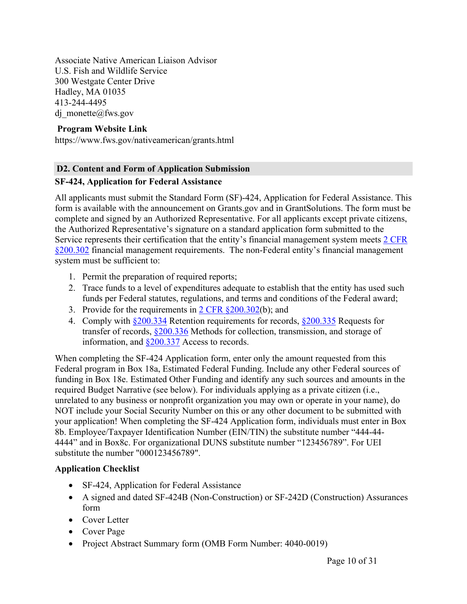Associate Native American Liaison Advisor U.S. Fish and Wildlife Service 300 Westgate Center Drive Hadley, MA 01035 413-244-4495 dj monette@fws.gov

### **Program Website Link**

https://www.fws.gov/nativeamerican/grants.html

#### <span id="page-10-0"></span>**D2. Content and Form of Application Submission**

#### **SF-424, Application for Federal Assistance**

All applicants must submit the Standard Form (SF)-424, Application for Federal Assistance. This form is available with the announcement on Grants.gov and in GrantSolutions. The form must be complete and signed by an Authorized Representative. For all applicants except private citizens, the Authorized Representative's signature on a standard application form submitted to the Service represents their certification that the entity's financial management system meets 2 [CFR](https://www.ecfr.gov/current/title-2/subtitle-A/chapter-II/part-200/subpart-D/section-200.302) [§200.302](https://www.ecfr.gov/current/title-2/subtitle-A/chapter-II/part-200/subpart-D/section-200.302) financial management requirements. The non-Federal entity's financial management system must be sufficient to:

- 1. Permit the preparation of required reports;
- 2. Trace funds to a level of expenditures adequate to establish that the entity has used such funds per Federal statutes, regulations, and terms and conditions of the Federal award;
- 3. Provide for the requirements in  $2 \text{ CFR } \frac{\text{ }8200.302}{\text{}}$  (b); and
- 4. Comply with [§200.334](https://www.ecfr.gov/current/title-2/subtitle-A/chapter-II/part-200/subpart-D/subject-group-ECFR4acc10e7e3b676f/section-200.334) Retention requirements for records, [§200.335](https://www.ecfr.gov/current/title-2/subtitle-A/chapter-II/part-200/subpart-D/subject-group-ECFR4acc10e7e3b676f/section-200.335) Requests for transfer of records, [§200.336](https://www.ecfr.gov/current/title-2/subtitle-A/chapter-II/part-200/subpart-D/subject-group-ECFR4acc10e7e3b676f/section-200.336) Methods for collection, transmission, and storage of information, and [§200.337](https://www.ecfr.gov/current/title-2/subtitle-A/chapter-II/part-200/subpart-D/subject-group-ECFR4acc10e7e3b676f/section-200.337) Access to records.

When completing the SF-424 Application form, enter only the amount requested from this Federal program in Box 18a, Estimated Federal Funding. Include any other Federal sources of funding in Box 18e. Estimated Other Funding and identify any such sources and amounts in the required Budget Narrative (see below). For individuals applying as a private citizen (i.e., unrelated to any business or nonprofit organization you may own or operate in your name), do NOT include your Social Security Number on this or any other document to be submitted with your application! When completing the SF-424 Application form, individuals must enter in Box 8b. Employee/Taxpayer Identification Number (EIN/TIN) the substitute number "444-44- 4444" and in Box8c. For organizational DUNS substitute number "123456789". For UEI substitute the number "000123456789".

# **Application Checklist**

- SF-424, Application for Federal Assistance
- A signed and dated SF-424B (Non-Construction) or SF-242D (Construction) Assurances form
- Cover Letter
- Cover Page
- Project Abstract Summary form (OMB Form Number: 4040-0019)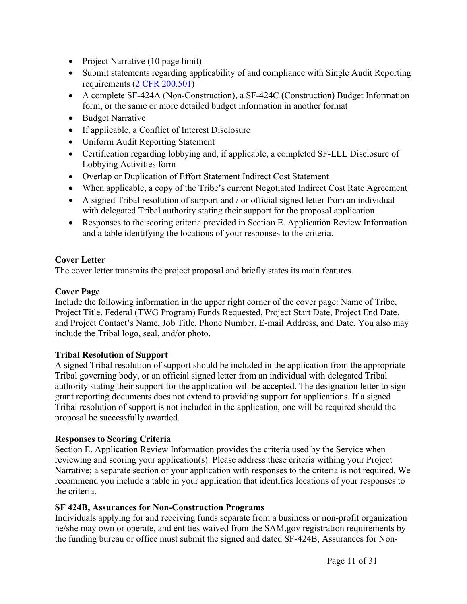- Project Narrative (10 page limit)
- Submit statements regarding applicability of and compliance with Single Audit Reporting requirements (2 CFR [200.501](http://www.ecfr.gov/cgi-bin/text-idx?SID=788241a31dbe4156aa17ec9893ffc55e&node=pt2.1.200&rgn=div5%20-%20sp2.1.200.f))
- A complete SF-424A (Non-Construction), a SF-424C (Construction) Budget Information form, or the same or more detailed budget information in another format
- Budget Narrative
- If applicable, a Conflict of Interest Disclosure
- Uniform Audit Reporting Statement
- Certification regarding lobbying and, if applicable, a completed SF-LLL Disclosure of Lobbying Activities form
- Overlap or Duplication of Effort Statement Indirect Cost Statement
- When applicable, a copy of the Tribe's current Negotiated Indirect Cost Rate Agreement
- A signed Tribal resolution of support and / or official signed letter from an individual with delegated Tribal authority stating their support for the proposal application
- Responses to the scoring criteria provided in Section E. Application Review Information and a table identifying the locations of your responses to the criteria.

# **Cover Letter**

The cover letter transmits the project proposal and briefly states its main features.

#### **Cover Page**

Include the following information in the upper right corner of the cover page: Name of Tribe, Project Title, Federal (TWG Program) Funds Requested, Project Start Date, Project End Date, and Project Contact's Name, Job Title, Phone Number, E-mail Address, and Date. You also may include the Tribal logo, seal, and/or photo.

# **Tribal Resolution of Support**

A signed Tribal resolution of support should be included in the application from the appropriate Tribal governing body, or an official signed letter from an individual with delegated Tribal authority stating their support for the application will be accepted. The designation letter to sign grant reporting documents does not extend to providing support for applications. If a signed Tribal resolution of support is not included in the application, one will be required should the proposal be successfully awarded.

#### **Responses to Scoring Criteria**

Section E. Application Review Information provides the criteria used by the Service when reviewing and scoring your application(s). Please address these criteria withing your Project Narrative; a separate section of your application with responses to the criteria is not required. We recommend you include a table in your application that identifies locations of your responses to the criteria.

# **SF 424B, Assurances for Non-Construction Programs**

Individuals applying for and receiving funds separate from a business or non-profit organization he/she may own or operate, and entities waived from the SAM.gov registration requirements by the funding bureau or office must submit the signed and dated SF-424B, Assurances for Non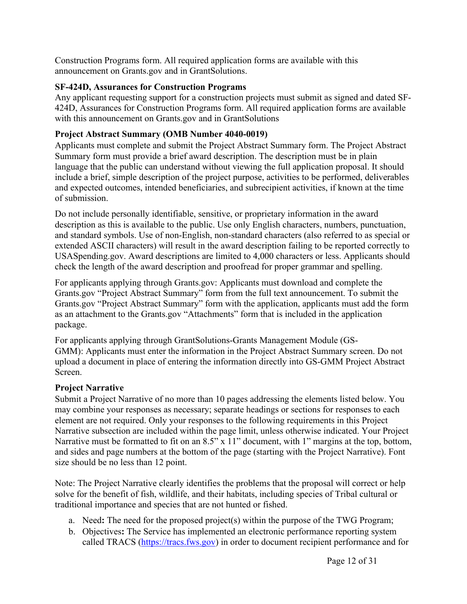Construction Programs form. All required application forms are available with this announcement on Grants.gov and in GrantSolutions.

# **SF-424D, Assurances for Construction Programs**

Any applicant requesting support for a construction projects must submit as signed and dated SF-424D, Assurances for Construction Programs form. All required application forms are available with this announcement on Grants.gov and in GrantSolutions

# **Project Abstract Summary (OMB Number 4040-0019)**

Applicants must complete and submit the Project Abstract Summary form. The Project Abstract Summary form must provide a brief award description. The description must be in plain language that the public can understand without viewing the full application proposal. It should include a brief, simple description of the project purpose, activities to be performed, deliverables and expected outcomes, intended beneficiaries, and subrecipient activities, if known at the time of submission.

Do not include personally identifiable, sensitive, or proprietary information in the award description as this is available to the public. Use only English characters, numbers, punctuation, and standard symbols. Use of non-English, non-standard characters (also referred to as special or extended ASCII characters) will result in the award description failing to be reported correctly to USASpending.gov. Award descriptions are limited to 4,000 characters or less. Applicants should check the length of the award description and proofread for proper grammar and spelling.

For applicants applying through Grants.gov: Applicants must download and complete the Grants.gov "Project Abstract Summary" form from the full text announcement. To submit the Grants.gov "Project Abstract Summary" form with the application, applicants must add the form as an attachment to the Grants.gov "Attachments" form that is included in the application package.

For applicants applying through GrantSolutions-Grants Management Module (GS-GMM): Applicants must enter the information in the Project Abstract Summary screen. Do not upload a document in place of entering the information directly into GS-GMM Project Abstract Screen.

# **Project Narrative**

Submit a Project Narrative of no more than 10 pages addressing the elements listed below. You may combine your responses as necessary; separate headings or sections for responses to each element are not required. Only your responses to the following requirements in this Project Narrative subsection are included within the page limit, unless otherwise indicated. Your Project Narrative must be formatted to fit on an 8.5" x 11" document, with 1" margins at the top, bottom, and sides and page numbers at the bottom of the page (starting with the Project Narrative). Font size should be no less than 12 point.

Note: The Project Narrative clearly identifies the problems that the proposal will correct or help solve for the benefit of fish, wildlife, and their habitats, including species of Tribal cultural or traditional importance and species that are not hunted or fished.

- a. Need**:** The need for the proposed project(s) within the purpose of the TWG Program;
- b. Objectives**:** The Service has implemented an electronic performance reporting system called TRACS [\(https://tracs.fws.gov\)](https://tracs.fws.gov) in order to document recipient performance and for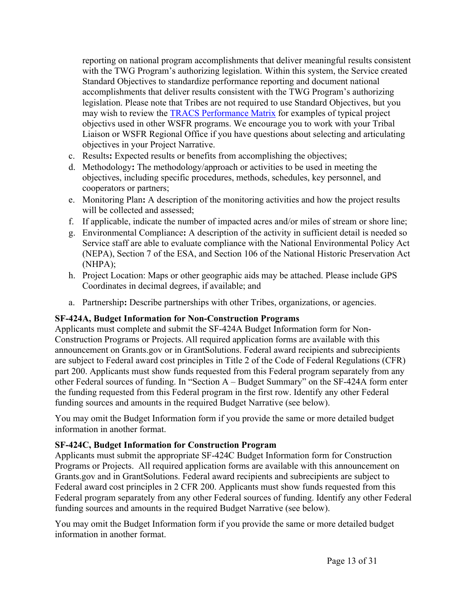reporting on national program accomplishments that deliver meaningful results consistent with the TWG Program's authorizing legislation. Within this system, the Service created Standard Objectives to standardize performance reporting and document national accomplishments that deliver results consistent with the TWG Program's authorizing legislation. Please note that Tribes are not required to use Standard Objectives, but you may wish to review the TRACS [Performance](https://wsfrtraining.fws.gov/mod/page/view.php?id=216&forceview=1) Matrix for examples of typical project objectivs used in other WSFR programs. We encourage you to work with your Tribal Liaison or WSFR Regional Office if you have questions about selecting and articulating objectives in your Project Narrative.

- c. Results**:** Expected results or benefits from accomplishing the objectives;
- d. Methodology**:** The methodology/approach or activities to be used in meeting the objectives, including specific procedures, methods, schedules, key personnel, and cooperators or partners;
- e. Monitoring Plan**:** A description of the monitoring activities and how the project results will be collected and assessed;
- f. If applicable, indicate the number of impacted acres and/or miles of stream or shore line;
- g. Environmental Compliance**:** A description of the activity in sufficient detail is needed so Service staff are able to evaluate compliance with the National Environmental Policy Act (NEPA), Section 7 of the ESA, and Section 106 of the National Historic Preservation Act (NHPA);
- h. Project Location: Maps or other geographic aids may be attached. Please include GPS Coordinates in decimal degrees, if available; and
- a. Partnership**:** Describe partnerships with other Tribes, organizations, or agencies.

#### **SF-424A, Budget Information for Non-Construction Programs**

Applicants must complete and submit the SF-424A Budget Information form for Non-Construction Programs or Projects. All required application forms are available with this announcement on Grants.gov or in GrantSolutions. Federal award recipients and subrecipients are subject to Federal award cost principles in Title 2 of the Code of Federal Regulations (CFR) part 200. Applicants must show funds requested from this Federal program separately from any other Federal sources of funding. In "Section A – Budget Summary" on the SF-424A form enter the funding requested from this Federal program in the first row. Identify any other Federal funding sources and amounts in the required Budget Narrative (see below).

You may omit the Budget Information form if you provide the same or more detailed budget information in another format.

# **SF-424C, Budget Information for Construction Program**

Applicants must submit the appropriate SF-424C Budget Information form for Construction Programs or Projects. All required application forms are available with this announcement on Grants.gov and in GrantSolutions. Federal award recipients and subrecipients are subject to Federal award cost principles in 2 CFR 200. Applicants must show funds requested from this Federal program separately from any other Federal sources of funding. Identify any other Federal funding sources and amounts in the required Budget Narrative (see below).

You may omit the Budget Information form if you provide the same or more detailed budget information in another format.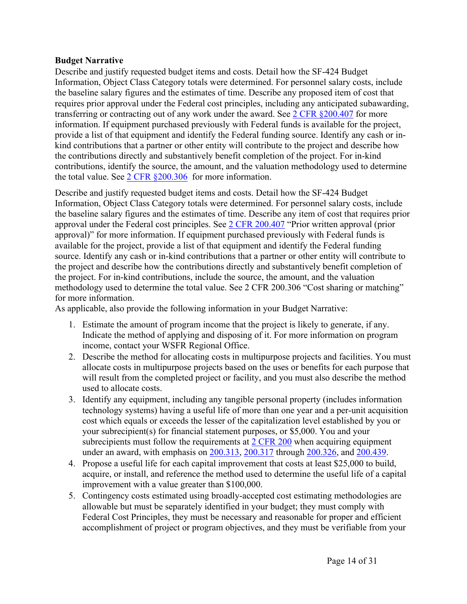#### **Budget Narrative**

Describe and justify requested budget items and costs. Detail how the SF-424 Budget Information, Object Class Category totals were determined. For personnel salary costs, include the baseline salary figures and the estimates of time. Describe any proposed item of cost that requires prior approval under the Federal cost principles, including any anticipated subawarding, transferring or contracting out of any work under the award. See 2 CFR [§200.407](https://www.ecfr.gov/current/title-2/subtitle-A/chapter-II/part-200/subpart-E/subject-group-ECFRea20080eff2ea53/section-200.407) for more information. If equipment purchased previously with Federal funds is available for the project, provide a list of that equipment and identify the Federal funding source. Identify any cash or inkind contributions that a partner or other entity will contribute to the project and describe how the contributions directly and substantively benefit completion of the project. For in-kind contributions, identify the source, the amount, and the valuation methodology used to determine the total value. See  $2 \text{ CFR } $200.306$  for more information.

Describe and justify requested budget items and costs. Detail how the SF-424 Budget Information, Object Class Category totals were determined. For personnel salary costs, include the baseline salary figures and the estimates of time. Describe any item of cost that requires prior approval under the Federal cost principles. See 2 CFR [200.407](about:blank) "Prior written approval (prior approval)" for more information. If equipment purchased previously with Federal funds is available for the project, provide a list of that equipment and identify the Federal funding source. Identify any cash or in-kind contributions that a partner or other entity will contribute to the project and describe how the contributions directly and substantively benefit completion of the project. For in-kind contributions, include the source, the amount, and the valuation methodology used to determine the total value. See 2 CFR 200.306 "Cost sharing or matching" for more information.

As applicable, also provide the following information in your Budget Narrative:

- 1. Estimate the amount of program income that the project is likely to generate, if any. Indicate the method of applying and disposing of it. For more information on program income, contact your WSFR Regional Office.
- 2. Describe the method for allocating costs in multipurpose projects and facilities. You must allocate costs in multipurpose projects based on the uses or benefits for each purpose that will result from the completed project or facility, and you must also describe the method used to allocate costs.
- 3. Identify any equipment, including any tangible personal property (includes information technology systems) having a useful life of more than one year and a per-unit acquisition cost which equals or exceeds the lesser of the capitalization level established by you or your subrecipient(s) for financial statement purposes, or \$5,000. You and your subrecipients must follow the requirements at 2 [CFR](https://www.ecfr.gov/cgi-bin/text-idx?SID=fad20236ec5ab44b8fe155679a71935d&mc=true&node=pt2.1.200&rgn=div5) 200 when acquiring equipment under an award, with emphasis on [200.313,](https://www.ecfr.gov/cgi-bin/text-idx?node=se2.1.200_1313&rgn=div8) [200.317](https://www.ecfr.gov/cgi-bin/text-idx?SID=fad20236ec5ab44b8fe155679a71935d&mc=true&node=pt2.1.200&rgn=div5#se2.1.200_1317) through [200.326](https://www.ecfr.gov/cgi-bin/text-idx?SID=fad20236ec5ab44b8fe155679a71935d&mc=true&node=pt2.1.200&rgn=div5#se2.1.200_1326), and [200.439.](https://www.ecfr.gov/cgi-bin/text-idx?SID=fad20236ec5ab44b8fe155679a71935d&mc=true&node=pt2.1.200&rgn=div5#se2.1.200_1439)
- 4. Propose a useful life for each capital improvement that costs at least \$25,000 to build, acquire, or install, and reference the method used to determine the useful life of a capital improvement with a value greater than \$100,000.
- 5. Contingency costs estimated using broadly-accepted cost estimating methodologies are allowable but must be separately identified in your budget; they must comply with Federal Cost Principles, they must be necessary and reasonable for proper and efficient accomplishment of project or program objectives, and they must be verifiable from your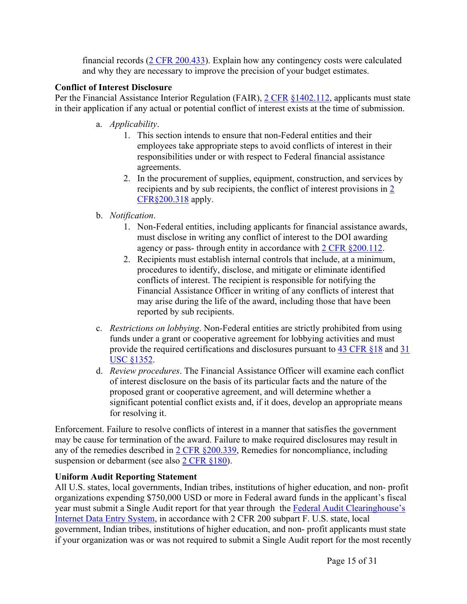financial records (2 CFR [200.433\)](https://www.ecfr.gov/cgi-bin/text-idx?node=se2.1.200_1433&rgn=div8). Explain how any contingency costs were calculated and why they are necessary to improve the precision of your budget estimates.

### **Conflict of Interest Disclosure**

Per the Financial Assistance Interior Regulation (FAIR), 2 [CFR](https://ecfr.federalregister.gov/current/title-2/subtitle-B/chapter-XIV/part-1402/subpart-B) [§1402.112](https://www.ecfr.gov/current/title-2/subtitle-B/chapter-XIV/part-1402/subpart-B/section-1402.112), applicants must state in their application if any actual or potential conflict of interest exists at the time of submission.

- a. *Applicability*.
	- 1. This section intends to ensure that non-Federal entities and their employees take appropriate steps to avoid conflicts of interest in their responsibilities under or with respect to Federal financial assistance agreements.
	- 2. In the procurement of supplies, equipment, construction, and services by recipients and by sub recipients, the conflict of interest provisions in [2](https://www.ecfr.gov/current/title-2/subtitle-A/chapter-II/part-200/subpart-D/subject-group-ECFR45ddd4419ad436d/section-200.318) [CFR§200.318](https://www.ecfr.gov/current/title-2/subtitle-A/chapter-II/part-200/subpart-D/subject-group-ECFR45ddd4419ad436d/section-200.318) apply.
- b. *Notification*.
	- 1. Non-Federal entities, including applicants for financial assistance awards, must disclose in writing any conflict of interest to the DOI awarding agency or pass- through entity in accordance with 2 CFR [§200.112.](https://www.ecfr.gov/current/title-2/subtitle-A/chapter-II/part-200/subpart-B/section-200.112)
	- 2. Recipients must establish internal controls that include, at a minimum, procedures to identify, disclose, and mitigate or eliminate identified conflicts of interest. The recipient is responsible for notifying the Financial Assistance Officer in writing of any conflicts of interest that may arise during the life of the award, including those that have been reported by sub recipients.
- c. *Restrictions on lobbying*. Non-Federal entities are strictly prohibited from using funds under a grant or cooperative agreement for lobbying activities and must provide the required certifications and disclosures pursuant to 43 [CFR](https://www.ecfr.gov/current/title-43/subtitle-A/part-18) §18 and [31](https://www.govinfo.gov/content/pkg/USCODE-2019-title31/pdf/USCODE-2019-title31-subtitleII-chap13-subchapIII-sec1352.pdf) USC [§1352](https://www.govinfo.gov/content/pkg/USCODE-2019-title31/pdf/USCODE-2019-title31-subtitleII-chap13-subchapIII-sec1352.pdf).
- d. *Review procedures*. The Financial Assistance Officer will examine each conflict of interest disclosure on the basis of its particular facts and the nature of the proposed grant or cooperative agreement, and will determine whether a significant potential conflict exists and, if it does, develop an appropriate means for resolving it.

Enforcement. Failure to resolve conflicts of interest in a manner that satisfies the government may be cause for termination of the award. Failure to make required disclosures may result in any of the remedies described in 2 CFR [§200.339](https://www.ecfr.gov/current/title-2/subtitle-A/chapter-II/part-200/subpart-D/subject-group-ECFR86b76dde0e1e9dc/section-200.339), Remedies for noncompliance, including suspension or debarment (see also 2 CFR [§180\)](https://www.ecfr.gov/current/title-2/subtitle-A/chapter-I/part-180).

# **Uniform Audit Reporting Statement**

All U.S. states, local governments, Indian tribes, institutions of higher education, and non- profit organizations expending \$750,000 USD or more in Federal award funds in the applicant's fiscal year must submit a Single Audit report for that year through the Federal Audit [Clearinghouse's](https://harvester.census.gov/facides/Account/Login.aspx) [Internet](https://harvester.census.gov/facides/Account/Login.aspx) Data Entry System, in accordance with 2 CFR 200 subpart F. U.S. state, local government, Indian tribes, institutions of higher education, and non- profit applicants must state if your organization was or was not required to submit a Single Audit report for the most recently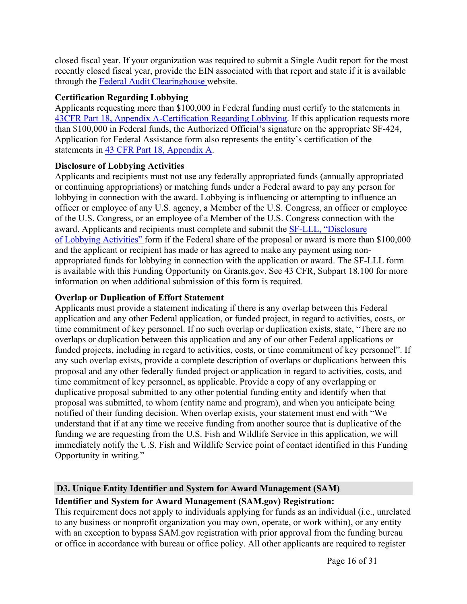closed fiscal year. If your organization was required to submit a Single Audit report for the most recently closed fiscal year, provide the EIN associated with that report and state if it is available through the Federal Audit [Clearinghouse](https://harvester.census.gov/facdissem/Main.aspx) website.

#### **Certification Regarding Lobbying**

Applicants requesting more than \$100,000 in Federal funding must certify to the statements in 43CFR Part 18, Appendix [A-Certification](https://www.ecfr.gov/current/title-43/subtitle-A/part-18) Regarding Lobbying. If this application requests more than \$100,000 in Federal funds, the Authorized Official's signature on the appropriate SF-424, Application for Federal Assistance form also represents the entity's certification of the statements in 43 CFR Part 18, [Appendix](https://www.ecfr.gov/current/title-43/subtitle-A/part-18) A.

# **Disclosure of Lobbying Activities**

Applicants and recipients must not use any federally appropriated funds (annually appropriated or continuing appropriations) or matching funds under a Federal award to pay any person for lobbying in connection with the award. Lobbying is influencing or attempting to influence an officer or employee of any U.S. agency, a Member of the U.S. Congress, an officer or employee of the U.S. Congress, or an employee of a Member of the U.S. Congress connection with the award. Applicants and recipients must complete and submit the SF-LLL, ["Disclosure](https://www.grants.gov/web/grants/forms/post-award-reporting-forms.html) [of](https://www.grants.gov/web/grants/forms/post-award-reporting-forms.html) Lobbying [Activities"](https://www.grants.gov/web/grants/forms/post-award-reporting-forms.html) form if the Federal share of the proposal or award is more than \$100,000 and the applicant or recipient has made or has agreed to make any payment using nonappropriated funds for lobbying in connection with the application or award. The SF-LLL form is available with this Funding Opportunity on Grants.gov. See 43 CFR, Subpart 18.100 for more information on when additional submission of this form is required.

# **Overlap or Duplication of Effort Statement**

Applicants must provide a statement indicating if there is any overlap between this Federal application and any other Federal application, or funded project, in regard to activities, costs, or time commitment of key personnel. If no such overlap or duplication exists, state, "There are no overlaps or duplication between this application and any of our other Federal applications or funded projects, including in regard to activities, costs, or time commitment of key personnel". If any such overlap exists, provide a complete description of overlaps or duplications between this proposal and any other federally funded project or application in regard to activities, costs, and time commitment of key personnel, as applicable. Provide a copy of any overlapping or duplicative proposal submitted to any other potential funding entity and identify when that proposal was submitted, to whom (entity name and program), and when you anticipate being notified of their funding decision. When overlap exists, your statement must end with "We understand that if at any time we receive funding from another source that is duplicative of the funding we are requesting from the U.S. Fish and Wildlife Service in this application, we will immediately notify the U.S. Fish and Wildlife Service point of contact identified in this Funding Opportunity in writing."

# <span id="page-16-0"></span>**D3. Unique Entity Identifier and System for Award Management (SAM)**

#### **Identifier and System for Award Management (SAM.gov) Registration:**

This requirement does not apply to individuals applying for funds as an individual (i.e., unrelated to any business or nonprofit organization you may own, operate, or work within), or any entity with an exception to bypass SAM.gov registration with prior approval from the funding bureau or office in accordance with bureau or office policy. All other applicants are required to register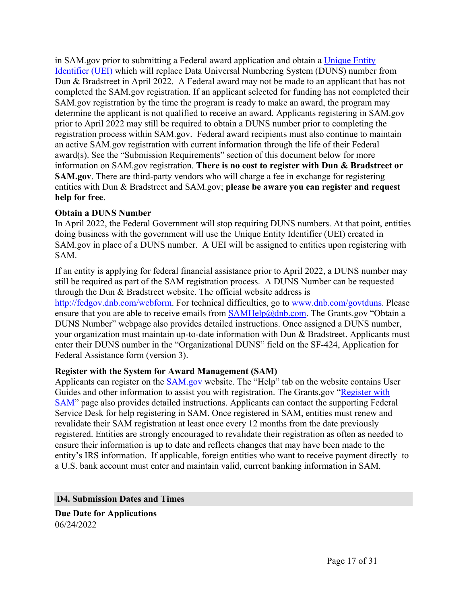in SAM.gov prior to submitting a Federal award application and obtain a [Unique](https://www.gsa.gov/about-us/organization/federal-acquisition-service/office-of-systems-management/integrated-award-environment-iae/iae-systems-information-kit/unique-entity-identifier-update) Entity [Identifier](https://www.gsa.gov/about-us/organization/federal-acquisition-service/office-of-systems-management/integrated-award-environment-iae/iae-systems-information-kit/unique-entity-identifier-update) (UEI) which will replace Data Universal Numbering System (DUNS) number from Dun & Bradstreet in April 2022. A Federal award may not be made to an applicant that has not completed the SAM.gov registration. If an applicant selected for funding has not completed their SAM.gov registration by the time the program is ready to make an award, the program may determine the applicant is not qualified to receive an award. Applicants registering in SAM.gov prior to April 2022 may still be required to obtain a DUNS number prior to completing the registration process within SAM.gov. Federal award recipients must also continue to maintain an active SAM.gov registration with current information through the life of their Federal award(s). See the "Submission Requirements" section of this document below for more information on SAM.gov registration. **There is no cost to register with Dun & Bradstreet or SAM.gov**. There are third-party vendors who will charge a fee in exchange for registering entities with Dun & Bradstreet and SAM.gov; **please be aware you can register and request help for free**.

#### **Obtain a DUNS Number**

In April 2022, the Federal Government will stop requiring DUNS numbers. At that point, entities doing business with the government will use the Unique Entity Identifier (UEI) created in SAM.gov in place of a DUNS number. A UEI will be assigned to entities upon registering with SAM.

If an entity is applying for federal financial assistance prior to April 2022, a DUNS number may still be required as part of the SAM registration process. A DUNS Number can be requested through the Dun & Bradstreet website. The official website address is <http://fedgov.dnb.com/webform>. For technical difficulties, go to [www.dnb.com/govtduns.](http://www.dnb.com/govtduns) Please ensure that you are able to receive emails from  $SAMHelp(@dhb.com)$ . The Grants.gov "Obtain a DUNS Number" webpage also provides detailed instructions. Once assigned a DUNS number, your organization must maintain up-to-date information with Dun & Bradstreet. Applicants must enter their DUNS number in the "Organizational DUNS" field on the SF-424, Application for Federal Assistance form (version 3).

#### **Register with the System for Award Management (SAM)**

Applicants can register on the [SAM.gov](http://www.sam.gov) website. The "Help" tab on the website contains User Guides and other information to assist you with registration. The Grants.gov "[Register](https://www.grants.gov/help/html/help/Register/RegisterWithSAM.htm) with [SAM](https://www.grants.gov/help/html/help/Register/RegisterWithSAM.htm)" page also provides detailed instructions. Applicants can contact the supporting Federal Service Desk for help registering in SAM. Once registered in SAM, entities must renew and revalidate their SAM registration at least once every 12 months from the date previously registered. Entities are strongly encouraged to revalidate their registration as often as needed to ensure their information is up to date and reflects changes that may have been made to the entity's IRS information. If applicable, foreign entities who want to receive payment directly to a U.S. bank account must enter and maintain valid, current banking information in SAM.

#### <span id="page-17-0"></span>**D4. Submission Dates and Times**

**Due Date for Applications** 06/24/2022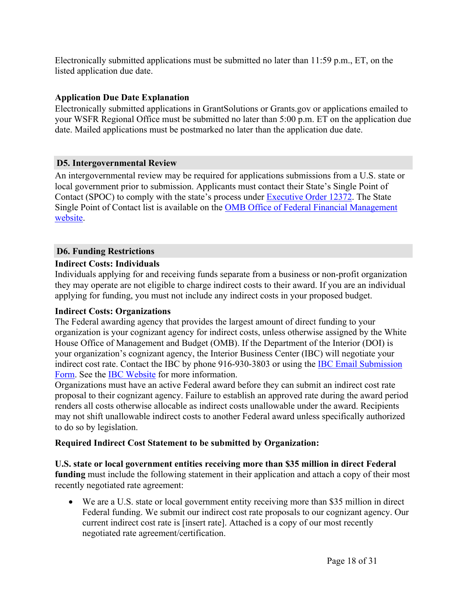Electronically submitted applications must be submitted no later than 11:59 p.m., ET, on the listed application due date.

#### **Application Due Date Explanation**

Electronically submitted applications in GrantSolutions or Grants.gov or applications emailed to your WSFR Regional Office must be submitted no later than 5:00 p.m. ET on the application due date. Mailed applications must be postmarked no later than the application due date.

#### <span id="page-18-0"></span>**D5. Intergovernmental Review**

An intergovernmental review may be required for applications submissions from a U.S. state or local government prior to submission. Applicants must contact their State's Single Point of Contact (SPOC) to comply with the state's process under [Executive](https://www.archives.gov/federal-register/codification/executive-order/12372.html) Order 12372. The State Single Point of Contact list is available on the OMB Office of Federal Financial [Management](https://www.whitehouse.gov/omb/management/office-federal-financial-management/) [website.](https://www.whitehouse.gov/omb/management/office-federal-financial-management/)

#### <span id="page-18-1"></span>**D6. Funding Restrictions**

#### **Indirect Costs: Individuals**

Individuals applying for and receiving funds separate from a business or non-profit organization they may operate are not eligible to charge indirect costs to their award. If you are an individual applying for funding, you must not include any indirect costs in your proposed budget.

#### **Indirect Costs: Organizations**

The Federal awarding agency that provides the largest amount of direct funding to your organization is your cognizant agency for indirect costs, unless otherwise assigned by the White House Office of Management and Budget (OMB). If the Department of the Interior (DOI) is your organization's cognizant agency, the Interior Business Center (IBC) will negotiate your indirect cost rate. Contact the IBC by phone 916-930-3803 or using the IBC Email [Submission](https://ibc.doi.gov/ICS/contact-us) [Form](https://ibc.doi.gov/ICS/contact-us). See the IBC [Website](https://ibc.doi.gov/ICS/icrna) for more information.

Organizations must have an active Federal award before they can submit an indirect cost rate proposal to their cognizant agency. Failure to establish an approved rate during the award period renders all costs otherwise allocable as indirect costs unallowable under the award. Recipients may not shift unallowable indirect costs to another Federal award unless specifically authorized to do so by legislation.

#### **Required Indirect Cost Statement to be submitted by Organization:**

**U.S. state or local government entities receiving more than \$35 million in direct Federal funding** must include the following statement in their application and attach a copy of their most recently negotiated rate agreement:

 We are a U.S. state or local government entity receiving more than \$35 million in direct Federal funding. We submit our indirect cost rate proposals to our cognizant agency. Our current indirect cost rate is [insert rate]. Attached is a copy of our most recently negotiated rate agreement/certification.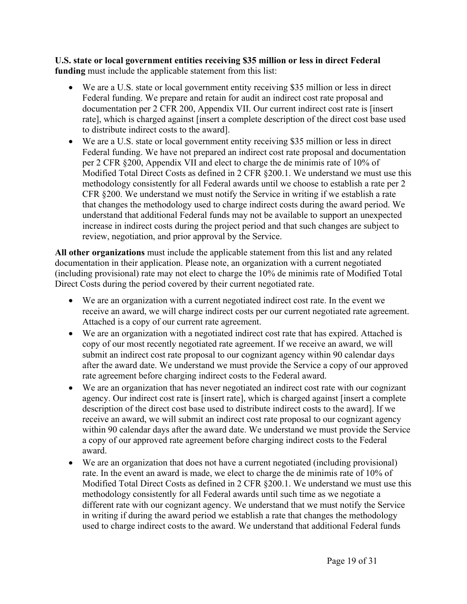**U.S. state or local government entities receiving \$35 million or less in direct Federal funding** must include the applicable statement from this list:

- We are a U.S. state or local government entity receiving \$35 million or less in direct Federal funding. We prepare and retain for audit an indirect cost rate proposal and documentation per 2 CFR 200, Appendix VII. Our current indirect cost rate is [insert rate], which is charged against [insert a complete description of the direct cost base used to distribute indirect costs to the award].
- We are a U.S. state or local government entity receiving \$35 million or less in direct Federal funding. We have not prepared an indirect cost rate proposal and documentation per 2 CFR §200, Appendix VII and elect to charge the de minimis rate of 10% of Modified Total Direct Costs as defined in 2 CFR §200.1. We understand we must use this methodology consistently for all Federal awards until we choose to establish a rate per 2 CFR §200. We understand we must notify the Service in writing if we establish a rate that changes the methodology used to charge indirect costs during the award period. We understand that additional Federal funds may not be available to support an unexpected increase in indirect costs during the project period and that such changes are subject to review, negotiation, and prior approval by the Service.

**All other organizations** must include the applicable statement from this list and any related documentation in their application. Please note, an organization with a current negotiated (including provisional) rate may not elect to charge the 10% de minimis rate of Modified Total Direct Costs during the period covered by their current negotiated rate.

- We are an organization with a current negotiated indirect cost rate. In the event we receive an award, we will charge indirect costs per our current negotiated rate agreement. Attached is a copy of our current rate agreement.
- We are an organization with a negotiated indirect cost rate that has expired. Attached is copy of our most recently negotiated rate agreement. If we receive an award, we will submit an indirect cost rate proposal to our cognizant agency within 90 calendar days after the award date. We understand we must provide the Service a copy of our approved rate agreement before charging indirect costs to the Federal award.
- We are an organization that has never negotiated an indirect cost rate with our cognizant agency. Our indirect cost rate is [insert rate], which is charged against [insert a complete description of the direct cost base used to distribute indirect costs to the award]. If we receive an award, we will submit an indirect cost rate proposal to our cognizant agency within 90 calendar days after the award date. We understand we must provide the Service a copy of our approved rate agreement before charging indirect costs to the Federal award.
- We are an organization that does not have a current negotiated (including provisional) rate. In the event an award is made, we elect to charge the de minimis rate of 10% of Modified Total Direct Costs as defined in 2 CFR §200.1. We understand we must use this methodology consistently for all Federal awards until such time as we negotiate a different rate with our cognizant agency. We understand that we must notify the Service in writing if during the award period we establish a rate that changes the methodology used to charge indirect costs to the award. We understand that additional Federal funds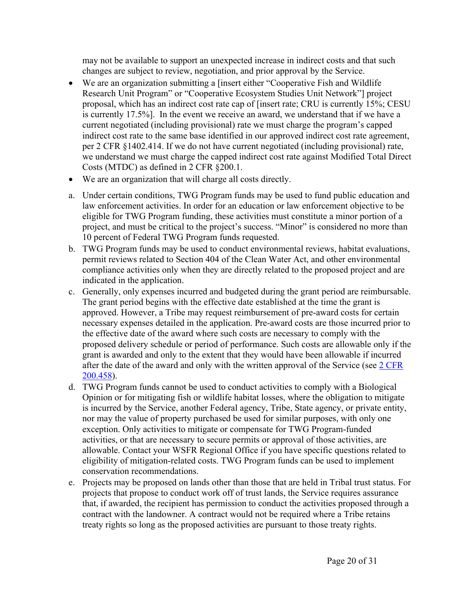may not be available to support an unexpected increase in indirect costs and that such changes are subject to review, negotiation, and prior approval by the Service.

- We are an organization submitting a [insert either "Cooperative Fish and Wildlife Research Unit Program" or "Cooperative Ecosystem Studies Unit Network"] project proposal, which has an indirect cost rate cap of [insert rate; CRU is currently 15%; CESU is currently 17.5%]. In the event we receive an award, we understand that if we have a current negotiated (including provisional) rate we must charge the program's capped indirect cost rate to the same base identified in our approved indirect cost rate agreement, per 2 CFR §1402.414. If we do not have current negotiated (including provisional) rate, we understand we must charge the capped indirect cost rate against Modified Total Direct Costs (MTDC) as defined in 2 CFR §200.1.
- We are an organization that will charge all costs directly.
- a. Under certain conditions, TWG Program funds may be used to fund public education and law enforcement activities. In order for an education or law enforcement objective to be eligible for TWG Program funding, these activities must constitute a minor portion of a project, and must be critical to the project's success. "Minor" is considered no more than 10 percent of Federal TWG Program funds requested.
- b. TWG Program funds may be used to conduct environmental reviews, habitat evaluations, permit reviews related to Section 404 of the Clean Water Act, and other environmental compliance activities only when they are directly related to the proposed project and are indicated in the application.
- c. Generally, only expenses incurred and budgeted during the grant period are reimbursable. The grant period begins with the effective date established at the time the grant is approved. However, a Tribe may request reimbursement of pre-award costs for certain necessary expenses detailed in the application. Pre-award costs are those incurred prior to the effective date of the award where such costs are necessary to comply with the proposed delivery schedule or period of performance. Such costs are allowable only if the grant is awarded and only to the extent that they would have been allowable if incurred after the date of the award and only with the written approval of the Service (see 2 [CFR](https://www.ecfr.gov/current/title-2/section-200.458) [200.458](https://www.ecfr.gov/current/title-2/section-200.458)).
- d. TWG Program funds cannot be used to conduct activities to comply with a Biological Opinion or for mitigating fish or wildlife habitat losses, where the obligation to mitigate is incurred by the Service, another Federal agency, Tribe, State agency, or private entity, nor may the value of property purchased be used for similar purposes, with only one exception. Only activities to mitigate or compensate for TWG Program-funded activities, or that are necessary to secure permits or approval of those activities, are allowable. Contact your WSFR Regional Office if you have specific questions related to eligibility of mitigation-related costs. TWG Program funds can be used to implement conservation recommendations.
- e. Projects may be proposed on lands other than those that are held in Tribal trust status. For projects that propose to conduct work off of trust lands, the Service requires assurance that, if awarded, the recipient has permission to conduct the activities proposed through a contract with the landowner. A contract would not be required where a Tribe retains treaty rights so long as the proposed activities are pursuant to those treaty rights.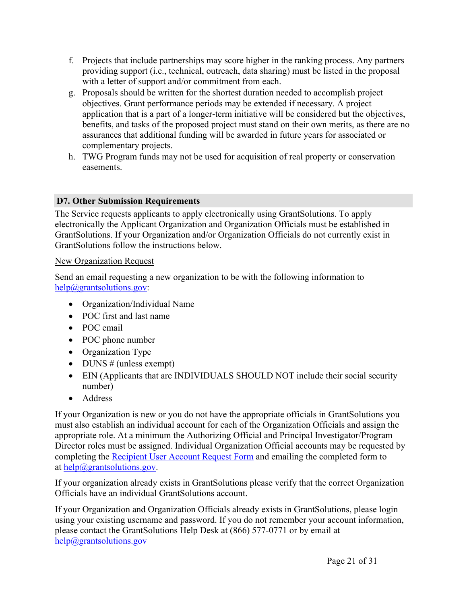- f. Projects that include partnerships may score higher in the ranking process. Any partners providing support (i.e., technical, outreach, data sharing) must be listed in the proposal with a letter of support and/or commitment from each.
- g. Proposals should be written for the shortest duration needed to accomplish project objectives. Grant performance periods may be extended if necessary. A project application that is a part of a longer-term initiative will be considered but the objectives, benefits, and tasks of the proposed project must stand on their own merits, as there are no assurances that additional funding will be awarded in future years for associated or complementary projects.
- h. TWG Program funds may not be used for acquisition of real property or conservation easements.

# <span id="page-21-0"></span>**D7. Other Submission Requirements**

The Service requests applicants to apply electronically using GrantSolutions. To apply electronically the Applicant Organization and Organization Officials must be established in GrantSolutions. If your Organization and/or Organization Officials do not currently exist in GrantSolutions follow the instructions below.

# New Organization Request

Send an email requesting a new organization to be with the following information to [help@grantsolutions.gov:](mailto:help@grantsolutions.gov)

- Organization/Individual Name
- POC first and last name
- POC email
- POC phone number
- Organization Type
- DUNS  $#$  (unless exempt)
- EIN (Applicants that are INDIVIDUALS SHOULD NOT include their social security number)
- Address

If your Organization is new or you do not have the appropriate officials in GrantSolutions you must also establish an individual account for each of the Organization Officials and assign the appropriate role. At a minimum the Authorizing Official and Principal Investigator/Program Director roles must be assigned. Individual Organization Official accounts may be requested by completing the [Recipient](https://www.grantsolutions.gov/home/getting-started-request-a-user-account/) User Account Request Form and emailing the completed form to at [help@grantsolutions.gov](mailto:help@grantsolutions.gov).

If your organization already exists in GrantSolutions please verify that the correct Organization Officials have an individual GrantSolutions account.

If your Organization and Organization Officials already exists in GrantSolutions, please login using your existing username and password. If you do not remember your account information, please contact the GrantSolutions Help Desk at (866) 577-0771 or by email at [help@grantsolutions.gov](mailto:help@grantsolutions.gov)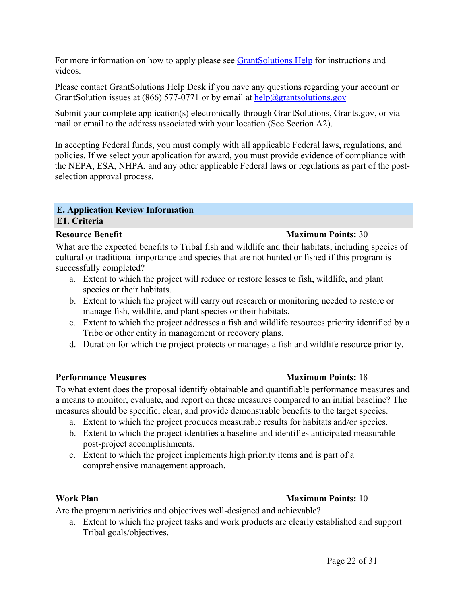For more information on how to apply please see [GrantSolutions](https://www.grantsolutions.gov/support/fedUsers.html) Help for instructions and videos.

Please contact GrantSolutions Help Desk if you have any questions regarding your account or GrantSolution issues at (866) 577-0771 or by email at  $\frac{help@grantsolutions.gov}$  $\frac{help@grantsolutions.gov}$  $\frac{help@grantsolutions.gov}$ 

Submit your complete application(s) electronically through GrantSolutions, Grants.gov, or via mail or email to the address associated with your location (See Section A2).

In accepting Federal funds, you must comply with all applicable Federal laws, regulations, and policies. If we select your application for award, you must provide evidence of compliance with the NEPA, ESA, NHPA, and any other applicable Federal laws or regulations as part of the postselection approval process.

#### <span id="page-22-1"></span><span id="page-22-0"></span>**E. Application Review Information E1. Criteria**

#### **Resource Benefit Maximum Points:** 30

What are the expected benefits to Tribal fish and wildlife and their habitats, including species of cultural or traditional importance and species that are not hunted or fished if this program is successfully completed?

- a. Extent to which the project will reduce or restore losses to fish, wildlife, and plant species or their habitats.
- b. Extent to which the project will carry out research or monitoring needed to restore or manage fish, wildlife, and plant species or their habitats.
- c. Extent to which the project addresses a fish and wildlife resources priority identified by a Tribe or other entity in management or recovery plans.
- d. Duration for which the project protects or manages a fish and wildlife resource priority.

#### **Performance Measures Maximum Points:** 18

To what extent does the proposal identify obtainable and quantifiable performance measures and a means to monitor, evaluate, and report on these measures compared to an initial baseline? The measures should be specific, clear, and provide demonstrable benefits to the target species.

- a. Extent to which the project produces measurable results for habitats and/or species.
- b. Extent to which the project identifies a baseline and identifies anticipated measurable post-project accomplishments.
- c. Extent to which the project implements high priority items and is part of a comprehensive management approach.

#### **Work Plan Maximum Points:** 10

# Are the program activities and objectives well-designed and achievable?

a. Extent to which the project tasks and work products are clearly established and support Tribal goals/objectives.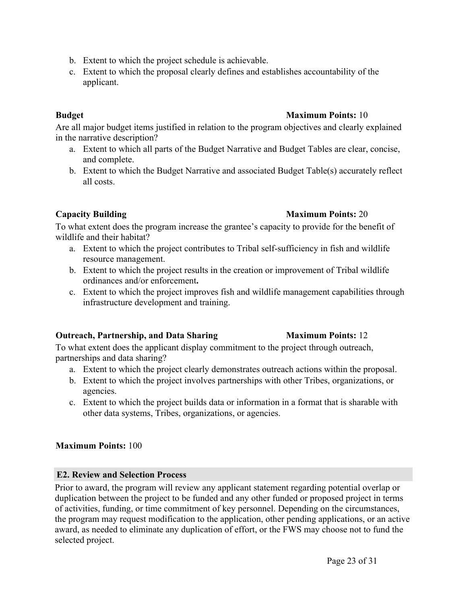- b. Extent to which the project schedule is achievable.
- c. Extent to which the proposal clearly defines and establishes accountability of the applicant.

# **Budget Maximum Points:** 10

Are all major budget items justified in relation to the program objectives and clearly explained in the narrative description?

- a. Extent to which all parts of the Budget Narrative and Budget Tables are clear, concise, and complete.
- b. Extent to which the Budget Narrative and associated Budget Table(s) accurately reflect all costs.

# **Capacity Building Maximum Points:** 20

To what extent does the program increase the grantee's capacity to provide for the benefit of wildlife and their habitat?

- a. Extent to which the project contributes to Tribal self-sufficiency in fish and wildlife resource management.
- b. Extent to which the project results in the creation or improvement of Tribal wildlife ordinances and/or enforcement**.**
- c. Extent to which the project improves fish and wildlife management capabilities through infrastructure development and training.

# **Outreach, Partnership, and Data Sharing Maximum Points:** 12

To what extent does the applicant display commitment to the project through outreach, partnerships and data sharing?

- a. Extent to which the project clearly demonstrates outreach actions within the proposal.
- b. Extent to which the project involves partnerships with other Tribes, organizations, or agencies.
- c. Extent to which the project builds data or information in a format that is sharable with other data systems, Tribes, organizations, or agencies.

# **Maximum Points:** 100

# <span id="page-23-0"></span>**E2. Review and Selection Process**

Prior to award, the program will review any applicant statement regarding potential overlap or duplication between the project to be funded and any other funded or proposed project in terms of activities, funding, or time commitment of key personnel. Depending on the circumstances, the program may request modification to the application, other pending applications, or an active award, as needed to eliminate any duplication of effort, or the FWS may choose not to fund the selected project.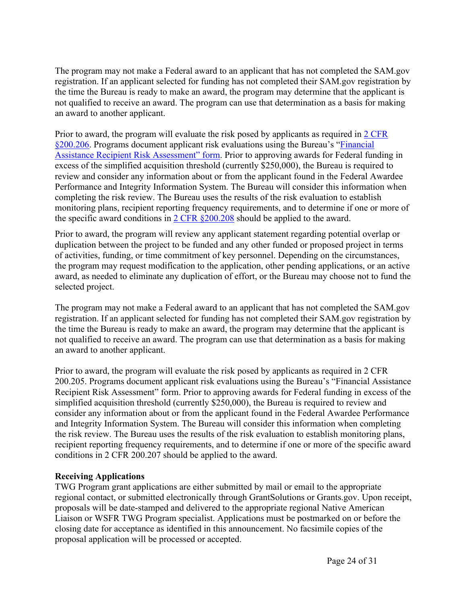The program may not make a Federal award to an applicant that has not completed the SAM.gov registration. If an applicant selected for funding has not completed their SAM.gov registration by the time the Bureau is ready to make an award, the program may determine that the applicant is not qualified to receive an award. The program can use that determination as a basis for making an award to another applicant.

Prior to award, the program will evaluate the risk posed by applicants as required in 2 [CFR](https://www.ecfr.gov/current/title-2/subtitle-A/chapter-II/part-200/subpart-C/section-200.206) [§200.206](https://www.ecfr.gov/current/title-2/subtitle-A/chapter-II/part-200/subpart-C/section-200.206). Programs document applicant risk evaluations using the Bureau's ["Financial](https://www.fws.gov/grants/pdfs/FWS3-2462RiskAssessmentWeb_12-31-2020.pdf) Assistance Recipient Risk [Assessment"](https://www.fws.gov/grants/pdfs/FWS3-2462RiskAssessmentWeb_12-31-2020.pdf) form. Prior to approving awards for Federal funding in excess of the simplified acquisition threshold (currently \$250,000), the Bureau is required to review and consider any information about or from the applicant found in the Federal Awardee Performance and Integrity Information System. The Bureau will consider this information when completing the risk review. The Bureau uses the results of the risk evaluation to establish monitoring plans, recipient reporting frequency requirements, and to determine if one or more of the specific award conditions in 2 CFR [§200.208](https://www.ecfr.gov/current/title-2/subtitle-A/chapter-II/part-200/subpart-C/section-200.208) should be applied to the award.

Prior to award, the program will review any applicant statement regarding potential overlap or duplication between the project to be funded and any other funded or proposed project in terms of activities, funding, or time commitment of key personnel. Depending on the circumstances, the program may request modification to the application, other pending applications, or an active award, as needed to eliminate any duplication of effort, or the Bureau may choose not to fund the selected project.

The program may not make a Federal award to an applicant that has not completed the SAM.gov registration. If an applicant selected for funding has not completed their SAM.gov registration by the time the Bureau is ready to make an award, the program may determine that the applicant is not qualified to receive an award. The program can use that determination as a basis for making an award to another applicant.

Prior to award, the program will evaluate the risk posed by applicants as required in 2 CFR 200.205. Programs document applicant risk evaluations using the Bureau's "Financial Assistance Recipient Risk Assessment" form. Prior to approving awards for Federal funding in excess of the simplified acquisition threshold (currently \$250,000), the Bureau is required to review and consider any information about or from the applicant found in the Federal Awardee Performance and Integrity Information System. The Bureau will consider this information when completing the risk review. The Bureau uses the results of the risk evaluation to establish monitoring plans, recipient reporting frequency requirements, and to determine if one or more of the specific award conditions in 2 CFR 200.207 should be applied to the award.

#### **Receiving Applications**

TWG Program grant applications are either submitted by mail or email to the appropriate regional contact, or submitted electronically through GrantSolutions or Grants.gov. Upon receipt, proposals will be date-stamped and delivered to the appropriate regional Native American Liaison or WSFR TWG Program specialist. Applications must be postmarked on or before the closing date for acceptance as identified in this announcement. No facsimile copies of the proposal application will be processed or accepted.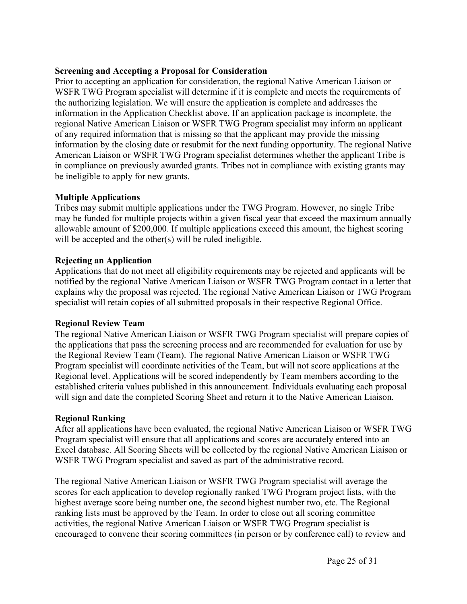#### **Screening and Accepting a Proposal for Consideration**

Prior to accepting an application for consideration, the regional Native American Liaison or WSFR TWG Program specialist will determine if it is complete and meets the requirements of the authorizing legislation. We will ensure the application is complete and addresses the information in the Application Checklist above. If an application package is incomplete, the regional Native American Liaison or WSFR TWG Program specialist may inform an applicant of any required information that is missing so that the applicant may provide the missing information by the closing date or resubmit for the next funding opportunity. The regional Native American Liaison or WSFR TWG Program specialist determines whether the applicant Tribe is in compliance on previously awarded grants. Tribes not in compliance with existing grants may be ineligible to apply for new grants.

#### **Multiple Applications**

Tribes may submit multiple applications under the TWG Program. However, no single Tribe may be funded for multiple projects within a given fiscal year that exceed the maximum annually allowable amount of \$200,000. If multiple applications exceed this amount, the highest scoring will be accepted and the other(s) will be ruled ineligible.

#### **Rejecting an Application**

Applications that do not meet all eligibility requirements may be rejected and applicants will be notified by the regional Native American Liaison or WSFR TWG Program contact in a letter that explains why the proposal was rejected. The regional Native American Liaison or TWG Program specialist will retain copies of all submitted proposals in their respective Regional Office.

#### **Regional Review Team**

The regional Native American Liaison or WSFR TWG Program specialist will prepare copies of the applications that pass the screening process and are recommended for evaluation for use by the Regional Review Team (Team). The regional Native American Liaison or WSFR TWG Program specialist will coordinate activities of the Team, but will not score applications at the Regional level. Applications will be scored independently by Team members according to the established criteria values published in this announcement. Individuals evaluating each proposal will sign and date the completed Scoring Sheet and return it to the Native American Liaison.

#### **Regional Ranking**

After all applications have been evaluated, the regional Native American Liaison or WSFR TWG Program specialist will ensure that all applications and scores are accurately entered into an Excel database. All Scoring Sheets will be collected by the regional Native American Liaison or WSFR TWG Program specialist and saved as part of the administrative record.

The regional Native American Liaison or WSFR TWG Program specialist will average the scores for each application to develop regionally ranked TWG Program project lists, with the highest average score being number one, the second highest number two, etc. The Regional ranking lists must be approved by the Team. In order to close out all scoring committee activities, the regional Native American Liaison or WSFR TWG Program specialist is encouraged to convene their scoring committees (in person or by conference call) to review and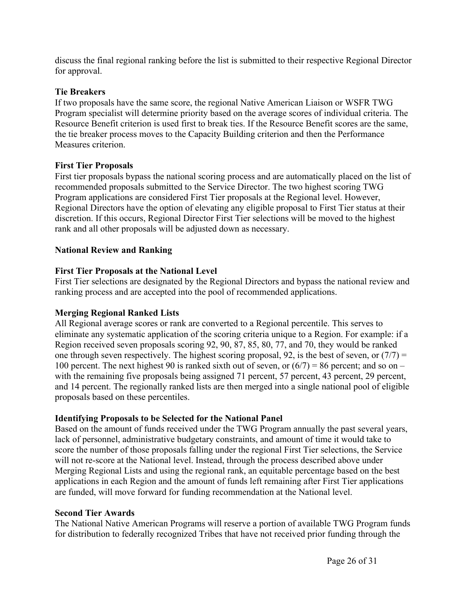discuss the final regional ranking before the list is submitted to their respective Regional Director for approval.

#### **Tie Breakers**

If two proposals have the same score, the regional Native American Liaison or WSFR TWG Program specialist will determine priority based on the average scores of individual criteria. The Resource Benefit criterion is used first to break ties. If the Resource Benefit scores are the same, the tie breaker process moves to the Capacity Building criterion and then the Performance Measures criterion.

#### **First Tier Proposals**

First tier proposals bypass the national scoring process and are automatically placed on the list of recommended proposals submitted to the Service Director. The two highest scoring TWG Program applications are considered First Tier proposals at the Regional level. However, Regional Directors have the option of elevating any eligible proposal to First Tier status at their discretion. If this occurs, Regional Director First Tier selections will be moved to the highest rank and all other proposals will be adjusted down as necessary.

#### **National Review and Ranking**

#### **First Tier Proposals at the National Level**

First Tier selections are designated by the Regional Directors and bypass the national review and ranking process and are accepted into the pool of recommended applications.

#### **Merging Regional Ranked Lists**

All Regional average scores or rank are converted to a Regional percentile. This serves to eliminate any systematic application of the scoring criteria unique to a Region. For example: if a Region received seven proposals scoring 92, 90, 87, 85, 80, 77, and 70, they would be ranked one through seven respectively. The highest scoring proposal, 92, is the best of seven, or  $(7/7)$  = 100 percent. The next highest 90 is ranked sixth out of seven, or  $(6/7) = 86$  percent; and so on – with the remaining five proposals being assigned 71 percent, 57 percent, 43 percent, 29 percent, and 14 percent. The regionally ranked lists are then merged into a single national pool of eligible proposals based on these percentiles.

#### **Identifying Proposals to be Selected for the National Panel**

Based on the amount of funds received under the TWG Program annually the past several years, lack of personnel, administrative budgetary constraints, and amount of time it would take to score the number of those proposals falling under the regional First Tier selections, the Service will not re-score at the National level. Instead, through the process described above under Merging Regional Lists and using the regional rank, an equitable percentage based on the best applications in each Region and the amount of funds left remaining after First Tier applications are funded, will move forward for funding recommendation at the National level.

#### **Second Tier Awards**

The National Native American Programs will reserve a portion of available TWG Program funds for distribution to federally recognized Tribes that have not received prior funding through the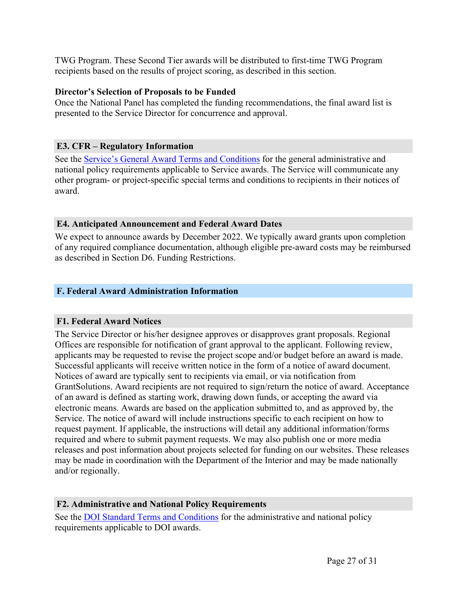TWG Program. These Second Tier awards will be distributed to first-time TWG Program recipients based on the results of project scoring, as described in this section.

#### **Director's Selection of Proposals to be Funded**

Once the National Panel has completed the funding recommendations, the final award list is presented to the Service Director for concurrence and approval.

### <span id="page-27-0"></span>**E3. CFR – Regulatory Information**

See the Service's General Award Terms and [Conditions](https://www.fws.gov/grants/index.html) for the general administrative and national policy requirements applicable to Service awards. The Service will communicate any other program- or project-specific special terms and conditions to recipients in their notices of award.

#### <span id="page-27-1"></span>**E4. Anticipated Announcement and Federal Award Dates**

We expect to announce awards by December 2022. We typically award grants upon completion of any required compliance documentation, although eligible pre-award costs may be reimbursed as described in Section D6. Funding Restrictions.

# <span id="page-27-2"></span>**F. Federal Award Administration Information**

#### <span id="page-27-3"></span>**F1. Federal Award Notices**

The Service Director or his/her designee approves or disapproves grant proposals. Regional Offices are responsible for notification of grant approval to the applicant. Following review, applicants may be requested to revise the project scope and/or budget before an award is made. Successful applicants will receive written notice in the form of a notice of award document. Notices of award are typically sent to recipients via email, or via notification from GrantSolutions. Award recipients are not required to sign/return the notice of award. Acceptance of an award is defined as starting work, drawing down funds, or accepting the award via electronic means. Awards are based on the application submitted to, and as approved by, the Service. The notice of award will include instructions specific to each recipient on how to request payment. If applicable, the instructions will detail any additional information/forms required and where to submit payment requests. We may also publish one or more media releases and post information about projects selected for funding on our websites. These releases may be made in coordination with the Department of the Interior and may be made nationally and/or regionally.

#### <span id="page-27-4"></span>**F2. Administrative and National Policy Requirements**

See the DOI Standard Terms and [Conditions](https://www.doi.gov/grants/doi-standard-terms-and-conditions) for the administrative and national policy requirements applicable to DOI awards.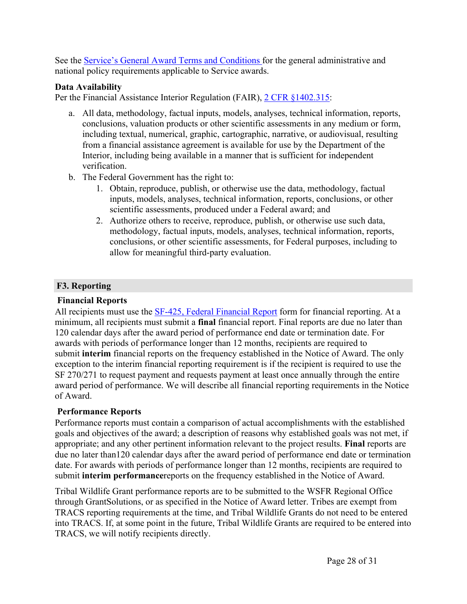See the Service's General Award Terms and [Conditions](https://www.fws.gov/grants/index.html) for the general administrative and national policy requirements applicable to Service awards.

### **Data Availability**

Per the Financial Assistance Interior Regulation (FAIR), 2 [CFR](https://www.ecfr.gov/cgi-bin/text-idx?SID=1bfd0da1190f850482e94794cca23a5d&mc=true&node=20190830y1.1) [§1402.315](https://www.ecfr.gov/current/title-2/subtitle-B/chapter-XIV/part-1402/subpart-D/section-1402.315):

- a. All data, methodology, factual inputs, models, analyses, technical information, reports, conclusions, valuation products or other scientific assessments in any medium or form, including textual, numerical, graphic, cartographic, narrative, or audiovisual, resulting from a financial assistance agreement is available for use by the Department of the Interior, including being available in a manner that is sufficient for independent verification.
- b. The Federal Government has the right to:
	- 1. Obtain, reproduce, publish, or otherwise use the data, methodology, factual inputs, models, analyses, technical information, reports, conclusions, or other scientific assessments, produced under a Federal award; and
	- 2. Authorize others to receive, reproduce, publish, or otherwise use such data, methodology, factual inputs, models, analyses, technical information, reports, conclusions, or other scientific assessments, for Federal purposes, including to allow for meaningful third-party evaluation.

# <span id="page-28-0"></span>**F3. Reporting**

### **Financial Reports**

All recipients must use the SF-425, Federal [Financial](https://www.grants.gov/web/grants/forms/post-award-reporting-forms.html) Report form for financial reporting. At a minimum, all recipients must submit a **final** financial report. Final reports are due no later than 120 calendar days after the award period of performance end date or termination date. For awards with periods of performance longer than 12 months, recipients are required to submit **interim** financial reports on the frequency established in the Notice of Award. The only exception to the interim financial reporting requirement is if the recipient is required to use the SF 270/271 to request payment and requests payment at least once annually through the entire award period of performance. We will describe all financial reporting requirements in the Notice of Award.

# **Performance Reports**

Performance reports must contain a comparison of actual accomplishments with the established goals and objectives of the award; a description of reasons why established goals was not met, if appropriate; and any other pertinent information relevant to the project results. **Final** reports are due no later than120 calendar days after the award period of performance end date or termination date. For awards with periods of performance longer than 12 months, recipients are required to submit **interim performance**reports on the frequency established in the Notice of Award.

Tribal Wildlife Grant performance reports are to be submitted to the WSFR Regional Office through GrantSolutions, or as specified in the Notice of Award letter. Tribes are exempt from TRACS reporting requirements at the time, and Tribal Wildlife Grants do not need to be entered into TRACS. If, at some point in the future, Tribal Wildlife Grants are required to be entered into TRACS, we will notify recipients directly.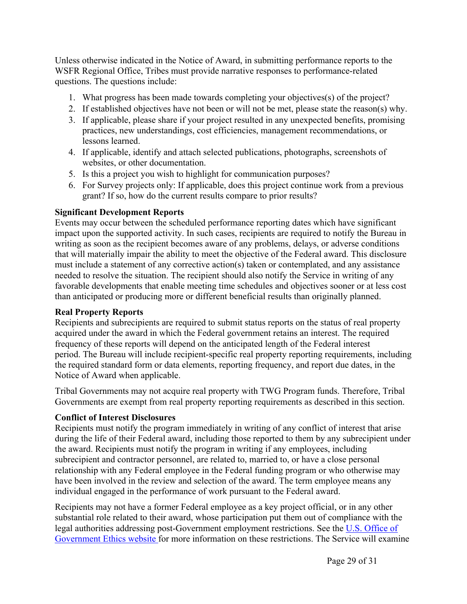Unless otherwise indicated in the Notice of Award, in submitting performance reports to the WSFR Regional Office, Tribes must provide narrative responses to performance-related questions. The questions include:

- 1. What progress has been made towards completing your objectives(s) of the project?
- 2. If established objectives have not been or will not be met, please state the reason(s) why.
- 3. If applicable, please share if your project resulted in any unexpected benefits, promising practices, new understandings, cost efficiencies, management recommendations, or lessons learned.
- 4. If applicable, identify and attach selected publications, photographs, screenshots of websites, or other documentation.
- 5. Is this a project you wish to highlight for communication purposes?
- 6. For Survey projects only: If applicable, does this project continue work from a previous grant? If so, how do the current results compare to prior results?

# **Significant Development Reports**

Events may occur between the scheduled performance reporting dates which have significant impact upon the supported activity. In such cases, recipients are required to notify the Bureau in writing as soon as the recipient becomes aware of any problems, delays, or adverse conditions that will materially impair the ability to meet the objective of the Federal award. This disclosure must include a statement of any corrective action(s) taken or contemplated, and any assistance needed to resolve the situation. The recipient should also notify the Service in writing of any favorable developments that enable meeting time schedules and objectives sooner or at less cost than anticipated or producing more or different beneficial results than originally planned.

# **Real Property Reports**

Recipients and subrecipients are required to submit status reports on the status of real property acquired under the award in which the Federal government retains an interest. The required frequency of these reports will depend on the anticipated length of the Federal interest period. The Bureau will include recipient-specific real property reporting requirements, including the required standard form or data elements, reporting frequency, and report due dates, in the Notice of Award when applicable.

Tribal Governments may not acquire real property with TWG Program funds. Therefore, Tribal Governments are exempt from real property reporting requirements as described in this section.

# **Conflict of Interest Disclosures**

Recipients must notify the program immediately in writing of any conflict of interest that arise during the life of their Federal award, including those reported to them by any subrecipient under the award. Recipients must notify the program in writing if any employees, including subrecipient and contractor personnel, are related to, married to, or have a close personal relationship with any Federal employee in the Federal funding program or who otherwise may have been involved in the review and selection of the award. The term employee means any individual engaged in the performance of work pursuant to the Federal award.

Recipients may not have a former Federal employee as a key project official, or in any other substantial role related to their award, whose participation put them out of compliance with the legal authorities addressing post-Government employment restrictions. See the U.S. [Office](https://oge.gov/) of [Government](https://oge.gov/) Ethics website for more information on these restrictions. The Service will examine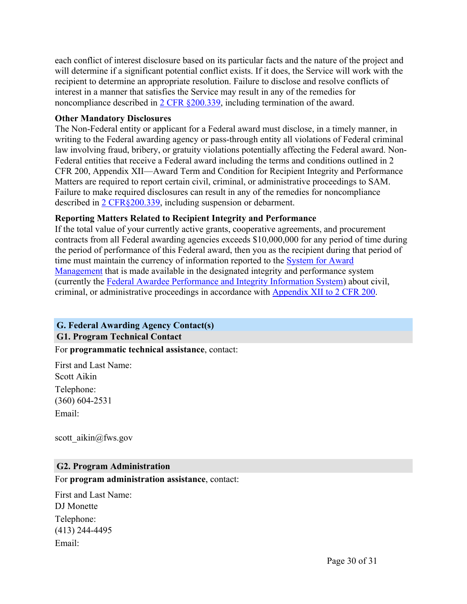each conflict of interest disclosure based on its particular facts and the nature of the project and will determine if a significant potential conflict exists. If it does, the Service will work with the recipient to determine an appropriate resolution. Failure to disclose and resolve conflicts of interest in a manner that satisfies the Service may result in any of the remedies for noncompliance described in 2 CFR [§200.339](https://www.ecfr.gov/current/title-2/subtitle-A/chapter-II/part-200/subpart-D/subject-group-ECFR86b76dde0e1e9dc/section-200.339), including termination of the award.

#### **Other Mandatory Disclosures**

The Non-Federal entity or applicant for a Federal award must disclose, in a timely manner, in writing to the Federal awarding agency or pass-through entity all violations of Federal criminal law involving fraud, bribery, or gratuity violations potentially affecting the Federal award. Non-Federal entities that receive a Federal award including the terms and conditions outlined in 2 CFR 200, Appendix XII—Award Term and Condition for Recipient Integrity and Performance Matters are required to report certain civil, criminal, or administrative proceedings to SAM. Failure to make required disclosures can result in any of the remedies for noncompliance described in 2 [CFR§200.339,](https://www.ecfr.gov/current/title-2/subtitle-A/chapter-II/part-200/subpart-D/subject-group-ECFR86b76dde0e1e9dc/section-200.339) including suspension or debarment.

#### **Reporting Matters Related to Recipient Integrity and Performance**

If the total value of your currently active grants, cooperative agreements, and procurement contracts from all Federal awarding agencies exceeds \$10,000,000 for any period of time during the period of performance of this Federal award, then you as the recipient during that period of time must maintain the currency of information reported to the [System](http://www.sam.gov/) for Award [Management](http://www.sam.gov/) that is made available in the designated integrity and performance system (currently the Federal Awardee [Performance](https://www.fapiis.gov) and Integrity Information System) about civil, criminal, or administrative proceedings in accordance with [Appendix](https://www.ecfr.gov/current/title-2/subtitle-A/chapter-II/part-200/appendix-Appendix%20XII%20to%20Part%20200) XII to 2 CFR 200.

#### <span id="page-30-0"></span>**G. Federal Awarding Agency Contact(s) G1. Program Technical Contact**

# <span id="page-30-1"></span>For **programmatic technical assistance**, contact:

First and Last Name: Scott Aikin Telephone: (360) 604-2531 Email:

scott\_aikin@fws.gov

#### <span id="page-30-2"></span>**G2. Program Administration**

#### For **program administration assistance**, contact:

First and Last Name: DJ Monette Telephone: (413) 244-4495 Email: